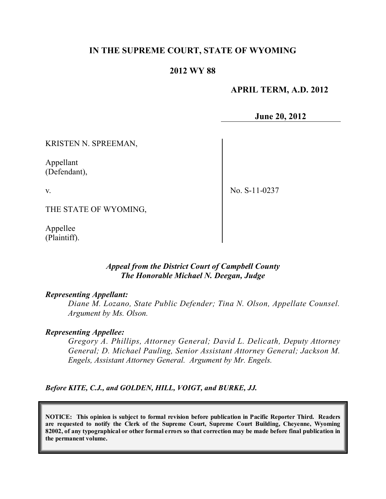# **IN THE SUPREME COURT, STATE OF WYOMING**

### **2012 WY 88**

### **APRIL TERM, A.D. 2012**

**June 20, 2012**

KRISTEN N. SPREEMAN,

Appellant (Defendant),

v.

No. S-11-0237

THE STATE OF WYOMING,

Appellee (Plaintiff).

### *Appeal from the District Court of Campbell County The Honorable Michael N. Deegan, Judge*

#### *Representing Appellant:*

*Diane M. Lozano, State Public Defender; Tina N. Olson, Appellate Counsel. Argument by Ms. Olson.*

#### *Representing Appellee:*

*Gregory A. Phillips, Attorney General; David L. Delicath, Deputy Attorney General; D. Michael Pauling, Senior Assistant Attorney General; Jackson M. Engels, Assistant Attorney General. Argument by Mr. Engels.*

*Before KITE, C.J., and GOLDEN, HILL, VOIGT, and BURKE, JJ.*

**NOTICE: This opinion is subject to formal revision before publication in Pacific Reporter Third. Readers are requested to notify the Clerk of the Supreme Court, Supreme Court Building, Cheyenne, Wyoming** 82002, of any typographical or other formal errors so that correction may be made before final publication in **the permanent volume.**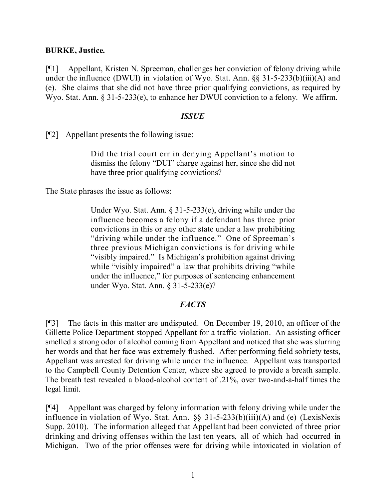### **BURKE, Justice.**

[¶1] Appellant, Kristen N. Spreeman, challenges her conviction of felony driving while under the influence (DWUI) in violation of Wyo. Stat. Ann. §§ 31-5-233(b)(iii)(A) and (e). She claims that she did not have three prior qualifying convictions, as required by Wyo. Stat. Ann. § 31-5-233(e), to enhance her DWUI conviction to a felony. We affirm.

#### *ISSUE*

[¶2] Appellant presents the following issue:

Did the trial court err in denying Appellant's motion to dismiss the felony "DUI" charge against her, since she did not have three prior qualifying convictions?

The State phrases the issue as follows:

Under Wyo. Stat. Ann. § 31-5-233(e), driving while under the influence becomes a felony if a defendant has three prior convictions in this or any other state under a law prohibiting "driving while under the influence." One of Spreeman's three previous Michigan convictions is for driving while "visibly impaired." Is Michigan's prohibition against driving while "visibly impaired" a law that prohibits driving "while" under the influence," for purposes of sentencing enhancement under Wyo. Stat. Ann. § 31-5-233(e)?

## *FACTS*

[¶3] The facts in this matter are undisputed. On December 19, 2010, an officer of the Gillette Police Department stopped Appellant for a traffic violation. An assisting officer smelled a strong odor of alcohol coming from Appellant and noticed that she was slurring her words and that her face was extremely flushed. After performing field sobriety tests, Appellant was arrested for driving while under the influence. Appellant was transported to the Campbell County Detention Center, where she agreed to provide a breath sample. The breath test revealed a blood-alcohol content of .21%, over two-and-a-half times the legal limit.

[¶4] Appellant was charged by felony information with felony driving while under the influence in violation of Wyo. Stat. Ann. §§ 31-5-233(b)(iii)(A) and (e) (LexisNexis Supp. 2010). The information alleged that Appellant had been convicted of three prior drinking and driving offenses within the last ten years, all of which had occurred in Michigan. Two of the prior offenses were for driving while intoxicated in violation of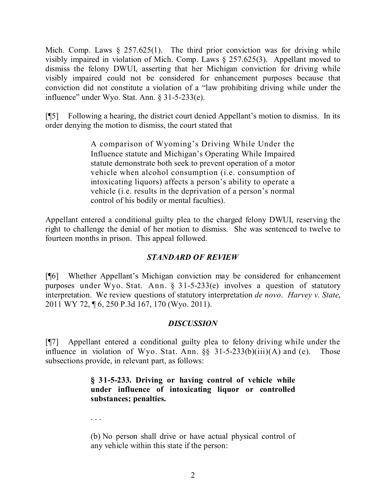Mich. Comp. Laws  $\S$  257.625(1). The third prior conviction was for driving while visibly impaired in violation of Mich. Comp. Laws § 257.625(3). Appellant moved to dismiss the felony DWUI, asserting that her Michigan conviction for driving while visibly impaired could not be considered for enhancement purposes because that conviction did not constitute a violation of a "law prohibiting driving while under the influence" under Wyo. Stat. Ann. § 31-5-233(e).

[¶5] Following a hearing, the district court denied Appellant's motion to dismiss. In its order denying the motion to dismiss, the court stated that

> A comparison of Wyoming's Driving While Under the Influence statute and Michigan's Operating While Impaired statute demonstrate both seek to prevent operation of a motor vehicle when alcohol consumption (i.e. consumption of intoxicating liquors) affects a person's ability to operate a vehicle (i.e. results in the deprivation of a person's normal control of his bodily or mental faculties).

Appellant entered a conditional guilty plea to the charged felony DWUI, reserving the right to challenge the denial of her motion to dismiss. She was sentenced to twelve to fourteen months in prison. This appeal followed.

# *STANDARD OF REVIEW*

[¶6] Whether Appellant's Michigan conviction may be considered for enhancement purposes under Wyo. Stat. Ann. § 31-5-233(e) involves a question of statutory interpretation. We review questions of statutory interpretation *de novo*. *Harvey v. State*, 2011 WY 72, ¶ 6, 250 P.3d 167, 170 (Wyo. 2011).

## *DISCUSSION*

[¶7] Appellant entered a conditional guilty plea to felony driving while under the influence in violation of Wyo. Stat. Ann.  $\S$ § 31-5-233(b)(iii)(A) and (e). Those subsections provide, in relevant part, as follows:

## **§ 31-5-233. Driving or having control of vehicle while under influence of intoxicating liquor or controlled substances; penalties.**

. . .

(b) No person shall drive or have actual physical control of any vehicle within this state if the person: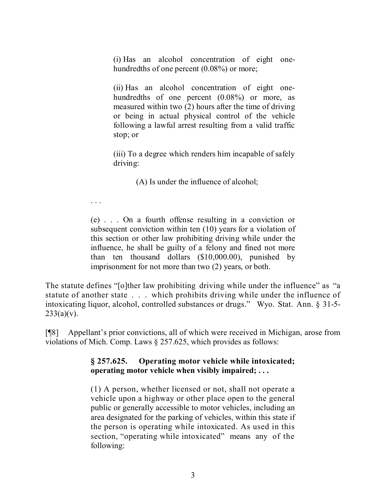(i) Has an alcohol concentration of eight onehundredths of one percent  $(0.08\%)$  or more;

(ii) Has an alcohol concentration of eight onehundredths of one percent  $(0.08\%)$  or more, as measured within two (2) hours after the time of driving or being in actual physical control of the vehicle following a lawful arrest resulting from a valid traffic stop; or

(iii) To a degree which renders him incapable of safely driving:

(A) Is under the influence of alcohol;

. . .

(e) . . . On a fourth offense resulting in a conviction or subsequent conviction within ten (10) years for a violation of this section or other law prohibiting driving while under the influence, he shall be guilty of a felony and fined not more than ten thousand dollars (\$10,000.00), punished by imprisonment for not more than two (2) years, or both.

The statute defines "[o]ther law prohibiting driving while under the influence" as "a statute of another state . . . which prohibits driving while under the influence of intoxicating liquor, alcohol, controlled substances or drugs." Wyo. Stat. Ann. § 31-5-  $233(a)(v)$ .

[¶8] Appellant's prior convictions, all of which were received in Michigan, arose from violations of Mich. Comp. Laws § 257.625, which provides as follows:

# **§ 257.625. Operating motor vehicle while intoxicated; operating motor vehicle when visibly impaired; . . .**

(1) A person, whether licensed or not, shall not operate a vehicle upon a highway or other place open to the general public or generally accessible to motor vehicles, including an area designated for the parking of vehicles, within this state if the person is operating while intoxicated. As used in this section, "operating while intoxicated" means any of the following: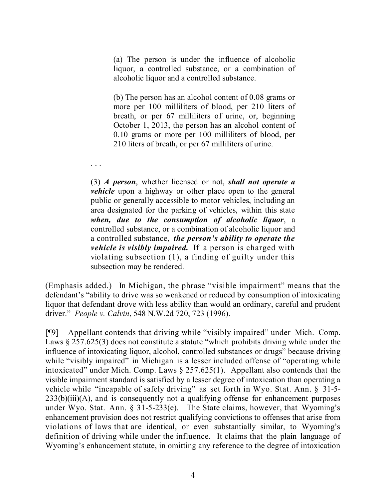(a) The person is under the influence of alcoholic liquor, a controlled substance, or a combination of alcoholic liquor and a controlled substance.

(b) The person has an alcohol content of 0.08 grams or more per 100 milliliters of blood, per 210 liters of breath, or per 67 milliliters of urine, or, beginning October 1, 2013, the person has an alcohol content of 0.10 grams or more per 100 milliliters of blood, per 210 liters of breath, or per 67 milliliters of urine.

(3) *A person*, whether licensed or not, *shall not operate a vehicle* upon a highway or other place open to the general public or generally accessible to motor vehicles, including an area designated for the parking of vehicles, within this state *when, due to the consumption of alcoholic liquor*, a controlled substance, or a combination of alcoholic liquor and a controlled substance, *the person's ability to operate the vehicle is visibly impaired.* If a person is charged with violating subsection (1), a finding of guilty under this subsection may be rendered.

. . .

(Emphasis added.) In Michigan, the phrase "visible impairment" means that the defendant's "ability to drive was so weakened or reduced by consumption of intoxicating liquor that defendant drove with less ability than would an ordinary, careful and prudent driver." *People v. Calvin*, 548 N.W.2d 720, 723 (1996).

[¶9] Appellant contends that driving while "visibly impaired" under Mich. Comp. Laws § 257.625(3) does not constitute a statute "which prohibits driving while under the influence of intoxicating liquor, alcohol, controlled substances or drugs" because driving while "visibly impaired" in Michigan is a lesser included offense of "operating while intoxicated" under Mich. Comp. Laws § 257.625(1). Appellant also contends that the visible impairment standard is satisfied by a lesser degree of intoxication than operating a vehicle while "incapable of safely driving" as set forth in Wyo. Stat. Ann. § 31-5-  $233(b)(iii)(A)$ , and is consequently not a qualifying offense for enhancement purposes under Wyo. Stat. Ann. § 31-5-233(e). The State claims, however, that Wyoming's enhancement provision does not restrict qualifying convictions to offenses that arise from violations of laws that are identical, or even substantially similar, to Wyoming's definition of driving while under the influence. It claims that the plain language of Wyoming's enhancement statute, in omitting any reference to the degree of intoxication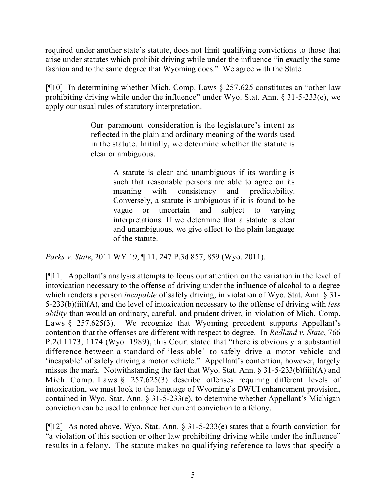required under another state's statute, does not limit qualifying convictions to those that arise under statutes which prohibit driving while under the influence "in exactly the same fashion and to the same degree that Wyoming does." We agree with the State.

[¶10] In determining whether Mich. Comp. Laws § 257.625 constitutes an "other law prohibiting driving while under the influence" under Wyo. Stat. Ann.  $\S 31-5-233(e)$ , we apply our usual rules of statutory interpretation.

> Our paramount consideration is the legislature's intent as reflected in the plain and ordinary meaning of the words used in the statute. Initially, we determine whether the statute is clear or ambiguous.

> > A statute is clear and unambiguous if its wording is such that reasonable persons are able to agree on its meaning with consistency and predictability. Conversely, a statute is ambiguous if it is found to be vague or uncertain and subject to varying interpretations. If we determine that a statute is clear and unambiguous, we give effect to the plain language of the statute.

*Parks v. State*, 2011 WY 19, ¶ 11, 247 P.3d 857, 859 (Wyo. 2011).

[¶11] Appellant's analysis attempts to focus our attention on the variation in the level of intoxication necessary to the offense of driving under the influence of alcohol to a degree which renders a person *incapable* of safely driving, in violation of Wyo. Stat. Ann. § 31- 5-233(b)(iii)(A), and the level of intoxication necessary to the offense of driving with *less ability* than would an ordinary, careful, and prudent driver, in violation of Mich. Comp. Laws § 257.625(3). We recognize that Wyoming precedent supports Appellant's contention that the offenses are different with respect to degree. In *Redland v. State*, 766 P.2d 1173, 1174 (Wyo. 1989), this Court stated that "there is obviously a substantial difference between a standard of 'less able' to safely drive a motor vehicle and 'incapable' of safely driving a motor vehicle." Appellant's contention, however, largely misses the mark. Notwithstanding the fact that Wyo. Stat. Ann. § 31-5-233(b)(iii)(A) and Mich. Comp. Laws § 257.625(3) describe offenses requiring different levels of intoxication, we must look to the language of Wyoming's DWUI enhancement provision, contained in Wyo. Stat. Ann. § 31-5-233(e), to determine whether Appellant's Michigan conviction can be used to enhance her current conviction to a felony.

[¶12] As noted above, Wyo. Stat. Ann. § 31-5-233(e) states that a fourth conviction for "a violation of this section or other law prohibiting driving while under the influence" results in a felony. The statute makes no qualifying reference to laws that specify a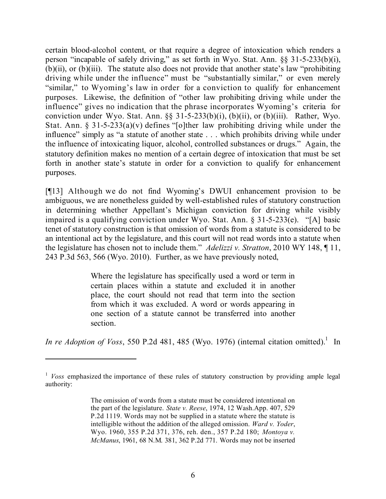certain blood-alcohol content, or that require a degree of intoxication which renders a person "incapable of safely driving," as set forth in Wyo. Stat. Ann. §§ 31-5-233(b)(i), (b)(ii), or (b)(iii). The statute also does not provide that another state's law "prohibiting driving while under the influence" must be "substantially similar," or even merely "similar," to Wyoming's law in order for a conviction to qualify for enhancement purposes. Likewise, the definition of "other law prohibiting driving while under the influence" gives no indication that the phrase incorporates Wyoming's criteria for conviction under Wyo. Stat. Ann. §§ 31-5-233(b)(i), (b)(ii), or (b)(iii). Rather, Wyo. Stat. Ann. §  $31-5-233(a)(v)$  defines "[o]ther law prohibiting driving while under the influence" simply as "a statute of another state . . . which prohibits driving while under the influence of intoxicating liquor, alcohol, controlled substances or drugs." Again, the statutory definition makes no mention of a certain degree of intoxication that must be set forth in another state's statute in order for a conviction to qualify for enhancement purposes.

[¶13] Although we do not find Wyoming's DWUI enhancement provision to be ambiguous, we are nonetheless guided by well-established rules of statutory construction in determining whether Appellant's Michigan conviction for driving while visibly impaired is a qualifying conviction under Wyo. Stat. Ann. § 31-5-233(e). "[A] basic tenet of statutory construction is that omission of words from a statute is considered to be an intentional act by the legislature, and this court will not read words into a statute when the legislature has chosen not to include them." *Adelizzi v. Stratton*, 2010 WY 148, ¶ 11, 243 P.3d 563, 566 (Wyo. 2010). Further, as we have previously noted,

> Where the legislature has specifically used a word or term in certain places within a statute and excluded it in another place, the court should not read that term into the section from which it was excluded. A word or words appearing in one section of a statute cannot be transferred into another section.

*In re Adoption of Voss*, 550 P.2d 481, 485 (Wyo. 1976) (internal citation omitted). 1 In

<sup>&</sup>lt;sup>1</sup> *Voss* emphasized the importance of these rules of statutory construction by providing ample legal authority:

The omission of words from a statute must be considered intentional on the part of the legislature. *State v. Reese*, 1974, 12 Wash.App. 407, 529 P.2d 1119. Words may not be supplied in a statute where the statute is intelligible without the addition of the alleged omission. *Ward v. Yoder*, Wyo. 1960, 355 P.2d 371, 376, reh. den., 357 P.2d 180; *Montoya v. McManus*, 1961, 68 N.M. 381, 362 P.2d 771. Words may not be inserted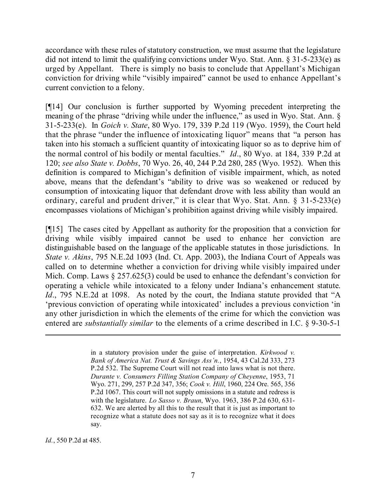accordance with these rules of statutory construction, we must assume that the legislature did not intend to limit the qualifying convictions under Wyo. Stat. Ann. § 31-5-233(e) as urged by Appellant. There is simply no basis to conclude that Appellant's Michigan conviction for driving while "visibly impaired" cannot be used to enhance Appellant's current conviction to a felony.

[¶14] Our conclusion is further supported by Wyoming precedent interpreting the meaning of the phrase "driving while under the influence," as used in Wyo. Stat. Ann. § 31-5-233(e). In *Goich v. State*, 80 Wyo. 179, 339 P.2d 119 (Wyo. 1959), the Court held that the phrase "under the influence of intoxicating liquor" means that "a person has taken into his stomach a sufficient quantity of intoxicating liquor so as to deprive him of the normal control of his bodily or mental faculties." *Id*., 80 Wyo. at 184, 339 P.2d at 120; *see also State v. Dobbs*, 70 Wyo. 26, 40, 244 P.2d 280, 285 (Wyo. 1952). When this definition is compared to Michigan's definition of visible impairment, which, as noted above, means that the defendant's "ability to drive was so weakened or reduced by consumption of intoxicating liquor that defendant drove with less ability than would an ordinary, careful and prudent driver," it is clear that Wyo. Stat. Ann. § 31-5-233(e) encompasses violations of Michigan's prohibition against driving while visibly impaired.

[¶15] The cases cited by Appellant as authority for the proposition that a conviction for driving while visibly impaired cannot be used to enhance her conviction are distinguishable based on the language of the applicable statutes in those jurisdictions. In *State v. Akins*, 795 N.E.2d 1093 (Ind. Ct. App. 2003), the Indiana Court of Appeals was called on to determine whether a conviction for driving while visibly impaired under Mich. Comp. Laws § 257.625(3) could be used to enhance the defendant's conviction for operating a vehicle while intoxicated to a felony under Indiana's enhancement statute. *Id.*, 795 N.E.2d at 1098. As noted by the court, the Indiana statute provided that "A 'previous conviction of operating while intoxicated' includes a previous conviction 'in any other jurisdiction in which the elements of the crime for which the conviction was entered are *substantially similar* to the elements of a crime described in I.C. § 9-30-5-1

l

*Id.*, 550 P.2d at 485.

in a statutory provision under the guise of interpretation. *Kirkwood v. Bank of America Nat. Trust & Savings Ass'n.*, 1954, 43 Cal.2d 333, 273 P.2d 532. The Supreme Court will not read into laws what is not there. *Durante v. Consumers Filling Station Company of Cheyenne*, 1953, 71 Wyo. 271, 299, 257 P.2d 347, 356; *Cook v. Hill*, 1960, 224 Ore. 565, 356 P.2d 1067. This court will not supply omissions in a statute and redress is with the legislature. *Lo Sasso v. Braun*, Wyo. 1963, 386 P.2d 630, 631- 632. We are alerted by all this to the result that it is just as important to recognize what a statute does not say as it is to recognize what it does say.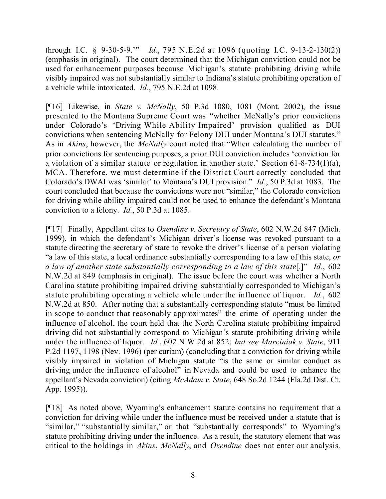through I.C. § 9-30-5-9.'" *Id.*, 795 N.E.2d at 1096 (quoting I.C. 9-13-2-130(2)) (emphasis in original). The court determined that the Michigan conviction could not be used for enhancement purposes because Michigan's statute prohibiting driving while visibly impaired was not substantially similar to Indiana's statute prohibiting operation of a vehicle while intoxicated. *Id.*, 795 N.E.2d at 1098.

[¶16] Likewise, in *State v. McNally*, 50 P.3d 1080, 1081 (Mont. 2002), the issue presented to the Montana Supreme Court was "whether McNally's prior convictions under Colorado's 'Driving While Ability Impaired' provision qualified as DUI convictions when sentencing McNally for Felony DUI under Montana's DUI statutes." As in *Akins*, however, the *McNally* court noted that "When calculating the number of prior convictions for sentencing purposes, a prior DUI conviction includes 'conviction for a violation of a similar statute or regulation in another state.' Section 61-8-734(1)(a), MCA. Therefore, we must determine if the District Court correctly concluded that Colorado's DWAI was 'similar' to Montana's DUI provision." *Id.*, 50 P.3d at 1083. The court concluded that because the convictions were not "similar," the Colorado conviction for driving while ability impaired could not be used to enhance the defendant's Montana conviction to a felony. *Id.*, 50 P.3d at 1085.

[¶17] Finally, Appellant cites to *Oxendine v. Secretary of State*, 602 N.W.2d 847 (Mich. 1999), in which the defendant's Michigan driver's license was revoked pursuant to a statute directing the secretary of state to revoke the driver's license of a person violating "a law of this state, a local ordinance substantially corresponding to a law of this state, *or a law of another state substantially corresponding to a law of this state*[.]" *Id.*, 602 N.W.2d at 849 (emphasis in original). The issue before the court was whether a North Carolina statute prohibiting impaired driving substantially corresponded to Michigan's statute prohibiting operating a vehicle while under the influence of liquor. *Id.*, 602 N.W.2d at 850. After noting that a substantially corresponding statute "must be limited in scope to conduct that reasonably approximates" the crime of operating under the influence of alcohol, the court held that the North Carolina statute prohibiting impaired driving did not substantially correspond to Michigan's statute prohibiting driving while under the influence of liquor. *Id.*, 602 N.W.2d at 852; *but see Marciniak v. State*, 911 P.2d 1197, 1198 (Nev. 1996) (per curiam) (concluding that a conviction for driving while visibly impaired in violation of Michigan statute "is the same or similar conduct as driving under the influence of alcohol" in Nevada and could be used to enhance the appellant's Nevada conviction) (citing *McAdam v. State*, 648 So.2d 1244 (Fla.2d Dist. Ct. App. 1995)).

[¶18] As noted above, Wyoming's enhancement statute contains no requirement that a conviction for driving while under the influence must be received under a statute that is "similar," "substantially similar," or that "substantially corresponds" to Wyoming's statute prohibiting driving under the influence. As a result, the statutory element that was critical to the holdings in *Akins*, *McNally*, and *Oxendine* does not enter our analysis.